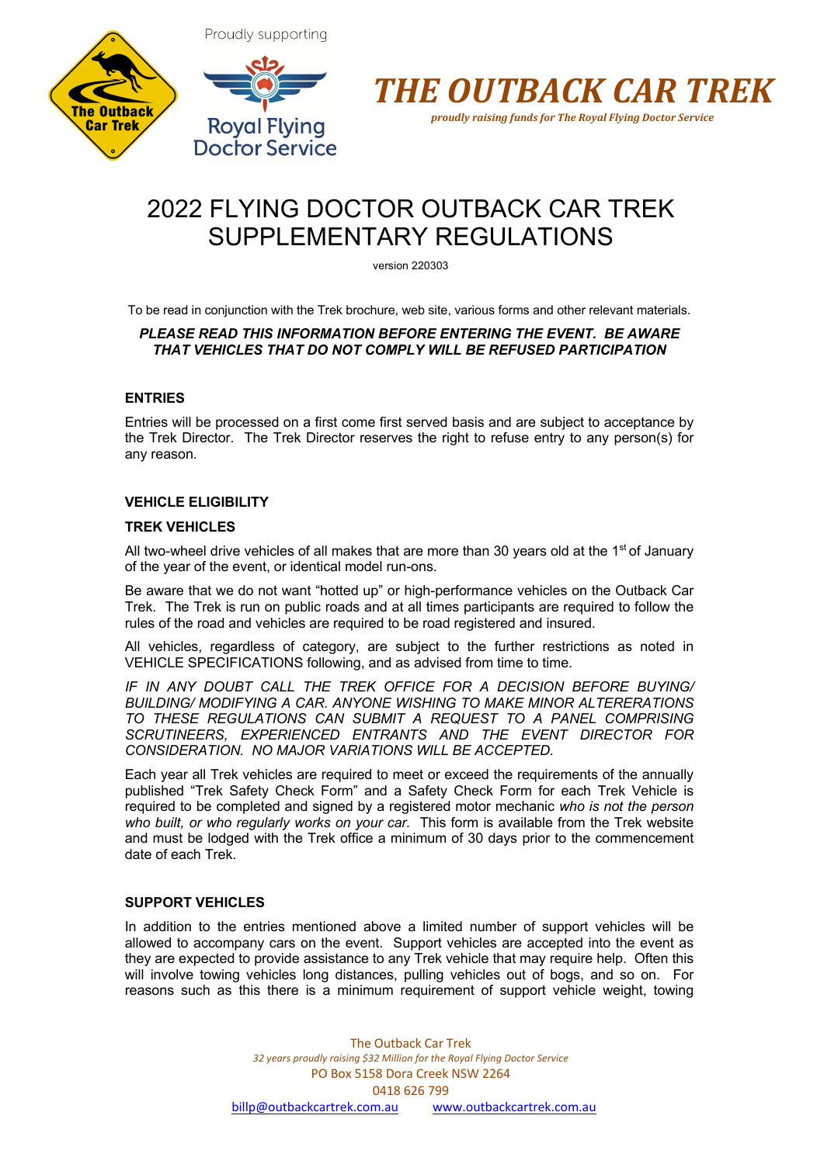





# 2022 FLYING DOCTOR OUTBACK CAR TREK SUPPLEMENTARY REGULATIONS

version 220303

To be read in conjunction with the Trek brochure, web site, various forms and other relevant materials.

# *PLEASE READ THIS INFORMATION BEFORE ENTERING THE EVENT. BE AWARE THAT VEHICLES THAT DO NOT COMPLY WILL BE REFUSED PARTICIPATION*

# **ENTRIES**

Entries will be processed on a first come first served basis and are subject to acceptance by the Trek Director. The Trek Director reserves the right to refuse entry to any person(s) for any reason.

# **VEHICLE ELIGIBILITY**

# **TREK VEHICLES**

All two-wheel drive vehicles of all makes that are more than 30 years old at the  $1<sup>st</sup>$  of January of the year of the event, or identical model run-ons.

Be aware that we do not want "hotted up" or high-performance vehicles on the Outback Car Trek. The Trek is run on public roads and at all times participants are required to follow the rules of the road and vehicles are required to be road registered and insured.

All vehicles, regardless of category, are subject to the further restrictions as noted in VEHICLE SPECIFICATIONS following, and as advised from time to time.

*IF IN ANY DOUBT CALL THE TREK OFFICE FOR A DECISION BEFORE BUYING/ BUILDING/ MODIFYING A CAR. ANYONE WISHING TO MAKE MINOR ALTERERATIONS TO THESE REGULATIONS CAN SUBMIT A REQUEST TO A PANEL COMPRISING SCRUTINEERS, EXPERIENCED ENTRANTS AND THE EVENT DIRECTOR FOR CONSIDERATION. NO MAJOR VARIATIONS WILL BE ACCEPTED.*

Each year all Trek vehicles are required to meet or exceed the requirements of the annually published "Trek Safety Check Form" and a Safety Check Form for each Trek Vehicle is required to be completed and signed by a registered motor mechanic *who is not the person who built, or who regularly works on your car.* This form is available from the Trek website and must be lodged with the Trek office a minimum of 30 days prior to the commencement date of each Trek.

# **SUPPORT VEHICLES**

In addition to the entries mentioned above a limited number of support vehicles will be allowed to accompany cars on the event. Support vehicles are accepted into the event as they are expected to provide assistance to any Trek vehicle that may require help. Often this will involve towing vehicles long distances, pulling vehicles out of bogs, and so on. For reasons such as this there is a minimum requirement of support vehicle weight, towing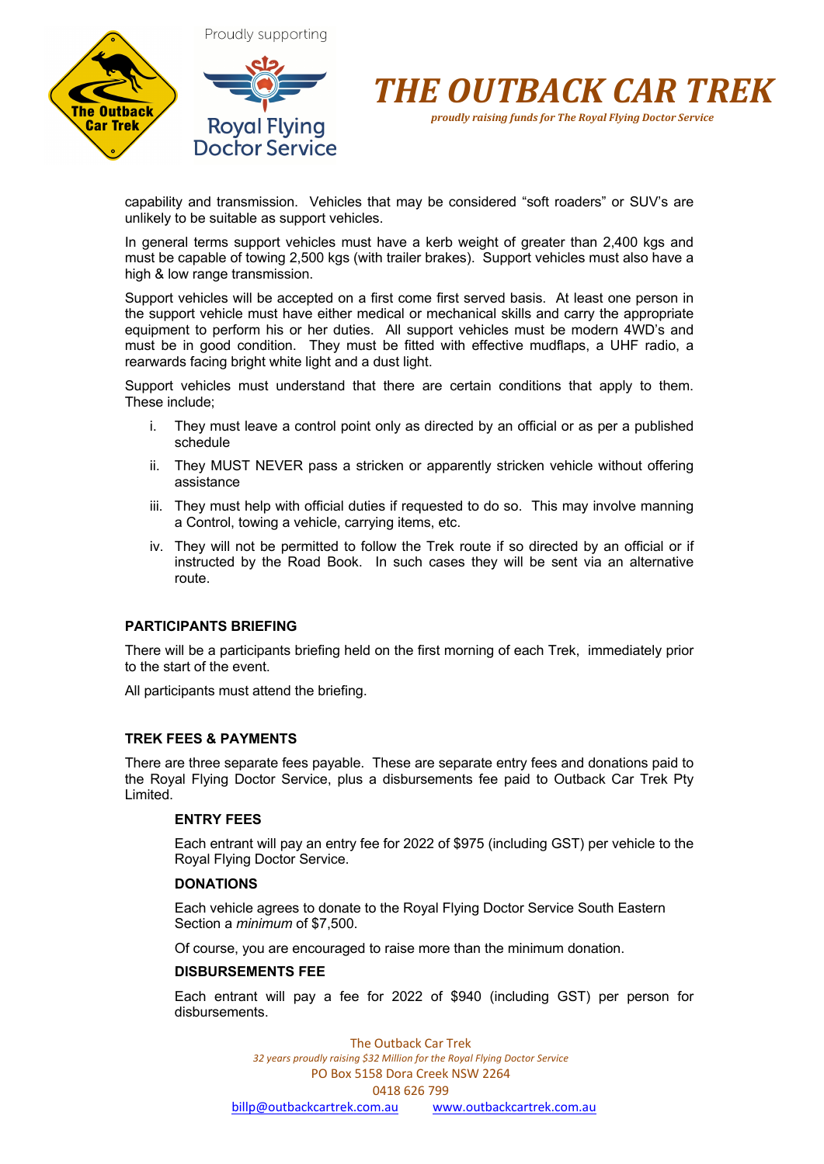



capability and transmission. Vehicles that may be considered "soft roaders" or SUV's are unlikely to be suitable as support vehicles.

In general terms support vehicles must have a kerb weight of greater than 2,400 kgs and must be capable of towing 2,500 kgs (with trailer brakes). Support vehicles must also have a high & low range transmission.

Support vehicles will be accepted on a first come first served basis. At least one person in the support vehicle must have either medical or mechanical skills and carry the appropriate equipment to perform his or her duties. All support vehicles must be modern 4WD's and must be in good condition. They must be fitted with effective mudflaps, a UHF radio, a rearwards facing bright white light and a dust light.

Support vehicles must understand that there are certain conditions that apply to them. These include;

- i. They must leave a control point only as directed by an official or as per a published schedule
- ii. They MUST NEVER pass a stricken or apparently stricken vehicle without offering assistance
- iii. They must help with official duties if requested to do so. This may involve manning a Control, towing a vehicle, carrying items, etc.
- iv. They will not be permitted to follow the Trek route if so directed by an official or if instructed by the Road Book. In such cases they will be sent via an alternative route.

# **PARTICIPANTS BRIEFING**

There will be a participants briefing held on the first morning of each Trek, immediately prior to the start of the event.

All participants must attend the briefing.

#### **TREK FEES & PAYMENTS**

There are three separate fees payable. These are separate entry fees and donations paid to the Royal Flying Doctor Service, plus a disbursements fee paid to Outback Car Trek Pty Limited.

#### **ENTRY FEES**

Each entrant will pay an entry fee for 2022 of \$975 (including GST) per vehicle to the Royal Flying Doctor Service.

#### **DONATIONS**

Each vehicle agrees to donate to the Royal Flying Doctor Service South Eastern Section a *minimum* of \$7,500.

Of course, you are encouraged to raise more than the minimum donation.

#### **DISBURSEMENTS FEE**

Each entrant will pay a fee for 2022 of \$940 (including GST) per person for disbursements.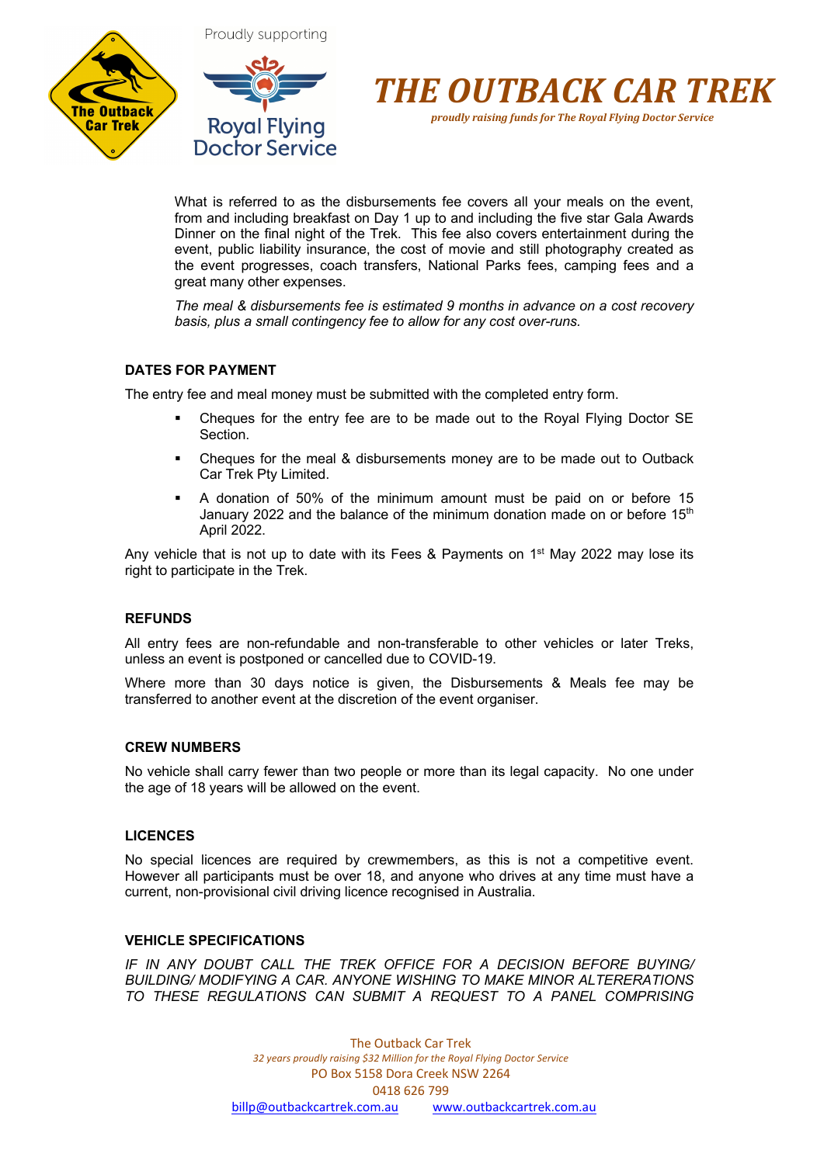





*proudly raising funds for The Royal Flying Doctor Service*

What is referred to as the disbursements fee covers all your meals on the event, from and including breakfast on Day 1 up to and including the five star Gala Awards Dinner on the final night of the Trek. This fee also covers entertainment during the event, public liability insurance, the cost of movie and still photography created as the event progresses, coach transfers, National Parks fees, camping fees and a great many other expenses.

*The meal & disbursements fee is estimated 9 months in advance on a cost recovery basis, plus a small contingency fee to allow for any cost over-runs.*

# **DATES FOR PAYMENT**

The entry fee and meal money must be submitted with the completed entry form.

- Cheques for the entry fee are to be made out to the Royal Flying Doctor SE Section.
- § Cheques for the meal & disbursements money are to be made out to Outback Car Trek Pty Limited.
- § A donation of 50% of the minimum amount must be paid on or before 15 January 2022 and the balance of the minimum donation made on or before  $15<sup>th</sup>$ April 2022.

Any vehicle that is not up to date with its Fees & Payments on  $1<sup>st</sup>$  May 2022 may lose its right to participate in the Trek.

# **REFUNDS**

All entry fees are non-refundable and non-transferable to other vehicles or later Treks, unless an event is postponed or cancelled due to COVID-19.

Where more than 30 days notice is given, the Disbursements & Meals fee may be transferred to another event at the discretion of the event organiser.

#### **CREW NUMBERS**

No vehicle shall carry fewer than two people or more than its legal capacity. No one under the age of 18 years will be allowed on the event.

# **LICENCES**

No special licences are required by crewmembers, as this is not a competitive event. However all participants must be over 18, and anyone who drives at any time must have a current, non-provisional civil driving licence recognised in Australia.

# **VEHICLE SPECIFICATIONS**

*IF IN ANY DOUBT CALL THE TREK OFFICE FOR A DECISION BEFORE BUYING/ BUILDING/ MODIFYING A CAR. ANYONE WISHING TO MAKE MINOR ALTERERATIONS TO THESE REGULATIONS CAN SUBMIT A REQUEST TO A PANEL COMPRISING*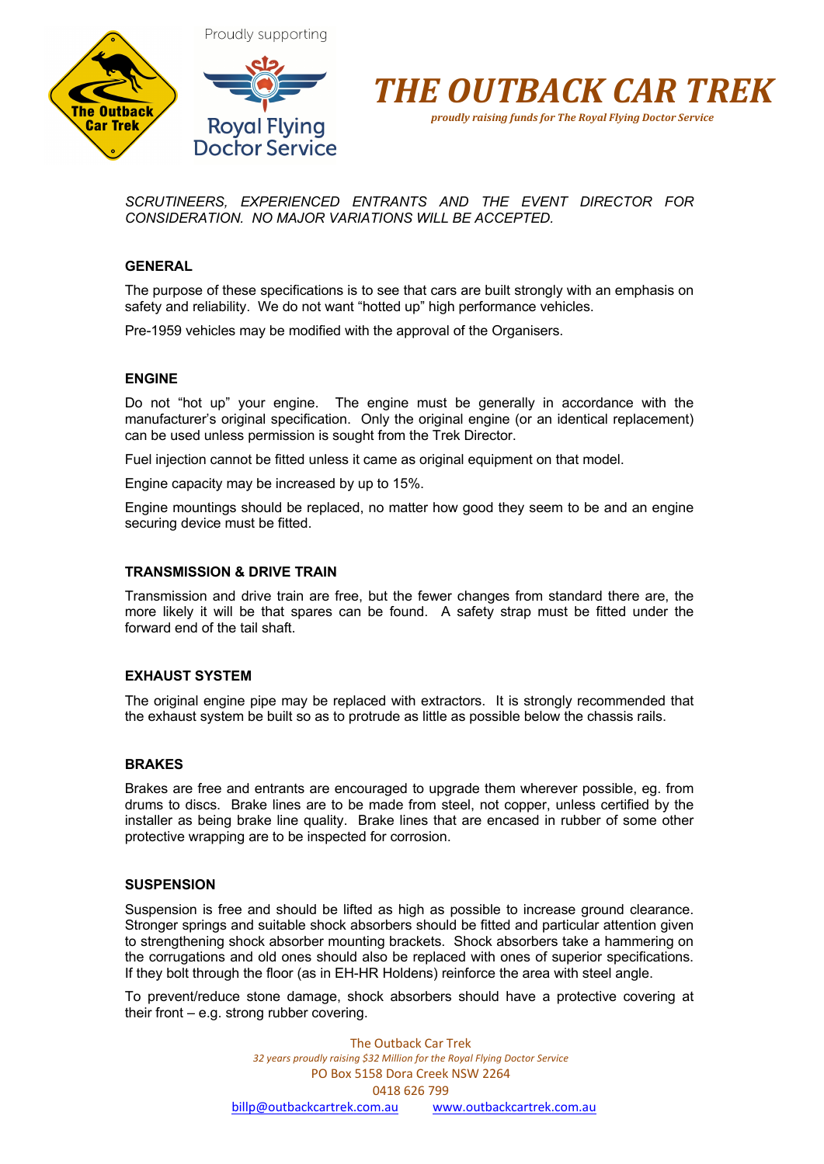



*proudly raising funds for The Royal Flying Doctor Service*

*SCRUTINEERS, EXPERIENCED ENTRANTS AND THE EVENT DIRECTOR FOR CONSIDERATION. NO MAJOR VARIATIONS WILL BE ACCEPTED.*

#### **GENERAL**

The purpose of these specifications is to see that cars are built strongly with an emphasis on safety and reliability. We do not want "hotted up" high performance vehicles.

Pre-1959 vehicles may be modified with the approval of the Organisers.

#### **ENGINE**

Do not "hot up" your engine. The engine must be generally in accordance with the manufacturer's original specification. Only the original engine (or an identical replacement) can be used unless permission is sought from the Trek Director.

Fuel injection cannot be fitted unless it came as original equipment on that model.

Engine capacity may be increased by up to 15%.

Engine mountings should be replaced, no matter how good they seem to be and an engine securing device must be fitted.

#### **TRANSMISSION & DRIVE TRAIN**

Transmission and drive train are free, but the fewer changes from standard there are, the more likely it will be that spares can be found. A safety strap must be fitted under the forward end of the tail shaft.

#### **EXHAUST SYSTEM**

The original engine pipe may be replaced with extractors. It is strongly recommended that the exhaust system be built so as to protrude as little as possible below the chassis rails.

#### **BRAKES**

Brakes are free and entrants are encouraged to upgrade them wherever possible, eg. from drums to discs. Brake lines are to be made from steel, not copper, unless certified by the installer as being brake line quality. Brake lines that are encased in rubber of some other protective wrapping are to be inspected for corrosion.

#### **SUSPENSION**

Suspension is free and should be lifted as high as possible to increase ground clearance. Stronger springs and suitable shock absorbers should be fitted and particular attention given to strengthening shock absorber mounting brackets. Shock absorbers take a hammering on the corrugations and old ones should also be replaced with ones of superior specifications. If they bolt through the floor (as in EH-HR Holdens) reinforce the area with steel angle.

To prevent/reduce stone damage, shock absorbers should have a protective covering at their front – e.g. strong rubber covering.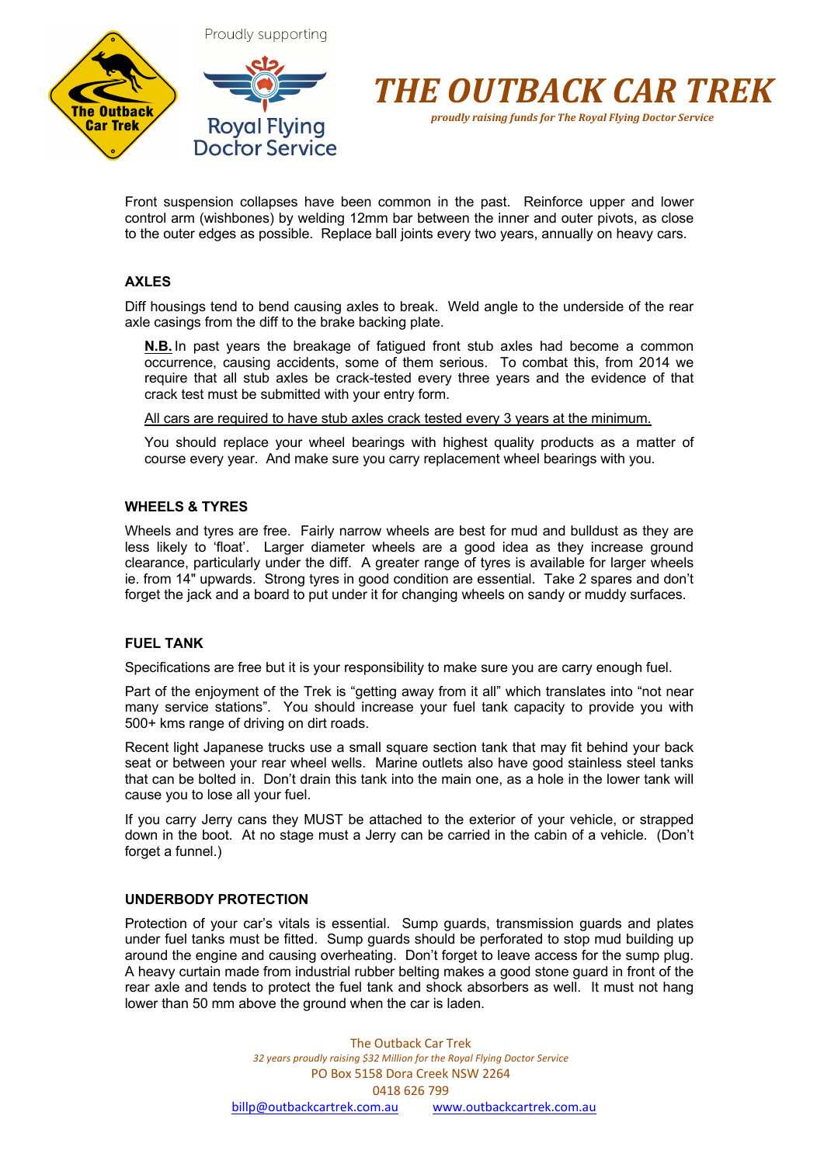



*proudly raising funds for The Royal Flying Doctor Service*

Front suspension collapses have been common in the past. Reinforce upper and lower control arm (wishbones) by welding 12mm bar between the inner and outer pivots, as close to the outer edges as possible. Replace ball joints every two years, annually on heavy cars.

# **AXLES**

Diff housings tend to bend causing axles to break. Weld angle to the underside of the rear axle casings from the diff to the brake backing plate.

**N.B.** In past years the breakage of fatigued front stub axles had become a common occurrence, causing accidents, some of them serious. To combat this, from 2014 we require that all stub axles be crack-tested every three years and the evidence of that crack test must be submitted with your entry form.

All cars are required to have stub axles crack tested every 3 years at the minimum.

You should replace your wheel bearings with highest quality products as a matter of course every year. And make sure you carry replacement wheel bearings with you.

# **WHEELS & TYRES**

Wheels and tyres are free. Fairly narrow wheels are best for mud and bulldust as they are less likely to 'float'. Larger diameter wheels are a good idea as they increase ground clearance, particularly under the diff. A greater range of tyres is available for larger wheels ie. from 14" upwards. Strong tyres in good condition are essential. Take 2 spares and don't forget the jack and a board to put under it for changing wheels on sandy or muddy surfaces.

# **FUEL TANK**

Specifications are free but it is your responsibility to make sure you are carry enough fuel.

Part of the enjoyment of the Trek is "getting away from it all" which translates into "not near many service stations". You should increase your fuel tank capacity to provide you with 500+ kms range of driving on dirt roads.

Recent light Japanese trucks use a small square section tank that may fit behind your back seat or between your rear wheel wells. Marine outlets also have good stainless steel tanks that can be bolted in. Don't drain this tank into the main one, as a hole in the lower tank will cause you to lose all your fuel.

If you carry Jerry cans they MUST be attached to the exterior of your vehicle, or strapped down in the boot. At no stage must a Jerry can be carried in the cabin of a vehicle. (Don't forget a funnel.)

# **UNDERBODY PROTECTION**

Protection of your car's vitals is essential. Sump guards, transmission guards and plates under fuel tanks must be fitted. Sump guards should be perforated to stop mud building up around the engine and causing overheating. Don't forget to leave access for the sump plug. A heavy curtain made from industrial rubber belting makes a good stone guard in front of the rear axle and tends to protect the fuel tank and shock absorbers as well. It must not hang lower than 50 mm above the ground when the car is laden.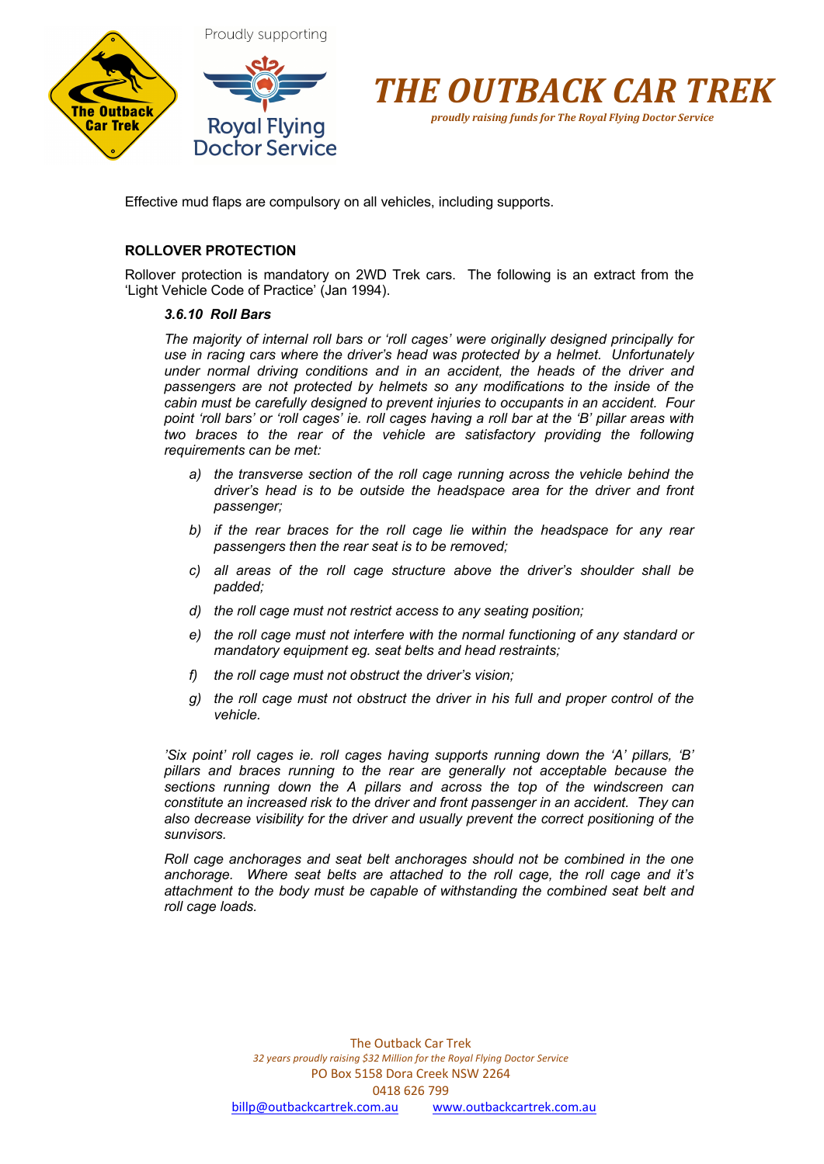



Effective mud flaps are compulsory on all vehicles, including supports.

### **ROLLOVER PROTECTION**

Rollover protection is mandatory on 2WD Trek cars. The following is an extract from the 'Light Vehicle Code of Practice' (Jan 1994).

#### *3.6.10 Roll Bars*

*The majority of internal roll bars or 'roll cages' were originally designed principally for use in racing cars where the driver's head was protected by a helmet. Unfortunately under normal driving conditions and in an accident, the heads of the driver and passengers are not protected by helmets so any modifications to the inside of the cabin must be carefully designed to prevent injuries to occupants in an accident. Four point 'roll bars' or 'roll cages' ie. roll cages having a roll bar at the 'B' pillar areas with two braces to the rear of the vehicle are satisfactory providing the following requirements can be met:*

- *a) the transverse section of the roll cage running across the vehicle behind the driver's head is to be outside the headspace area for the driver and front passenger;*
- *b) if the rear braces for the roll cage lie within the headspace for any rear passengers then the rear seat is to be removed;*
- *c) all areas of the roll cage structure above the driver's shoulder shall be padded;*
- *d) the roll cage must not restrict access to any seating position;*
- *e) the roll cage must not interfere with the normal functioning of any standard or mandatory equipment eg. seat belts and head restraints;*
- *f) the roll cage must not obstruct the driver's vision;*
- *g) the roll cage must not obstruct the driver in his full and proper control of the vehicle.*

*'Six point' roll cages ie. roll cages having supports running down the 'A' pillars, 'B' pillars and braces running to the rear are generally not acceptable because the sections running down the A pillars and across the top of the windscreen can constitute an increased risk to the driver and front passenger in an accident. They can also decrease visibility for the driver and usually prevent the correct positioning of the sunvisors.* 

*Roll cage anchorages and seat belt anchorages should not be combined in the one anchorage. Where seat belts are attached to the roll cage, the roll cage and it's attachment to the body must be capable of withstanding the combined seat belt and roll cage loads.*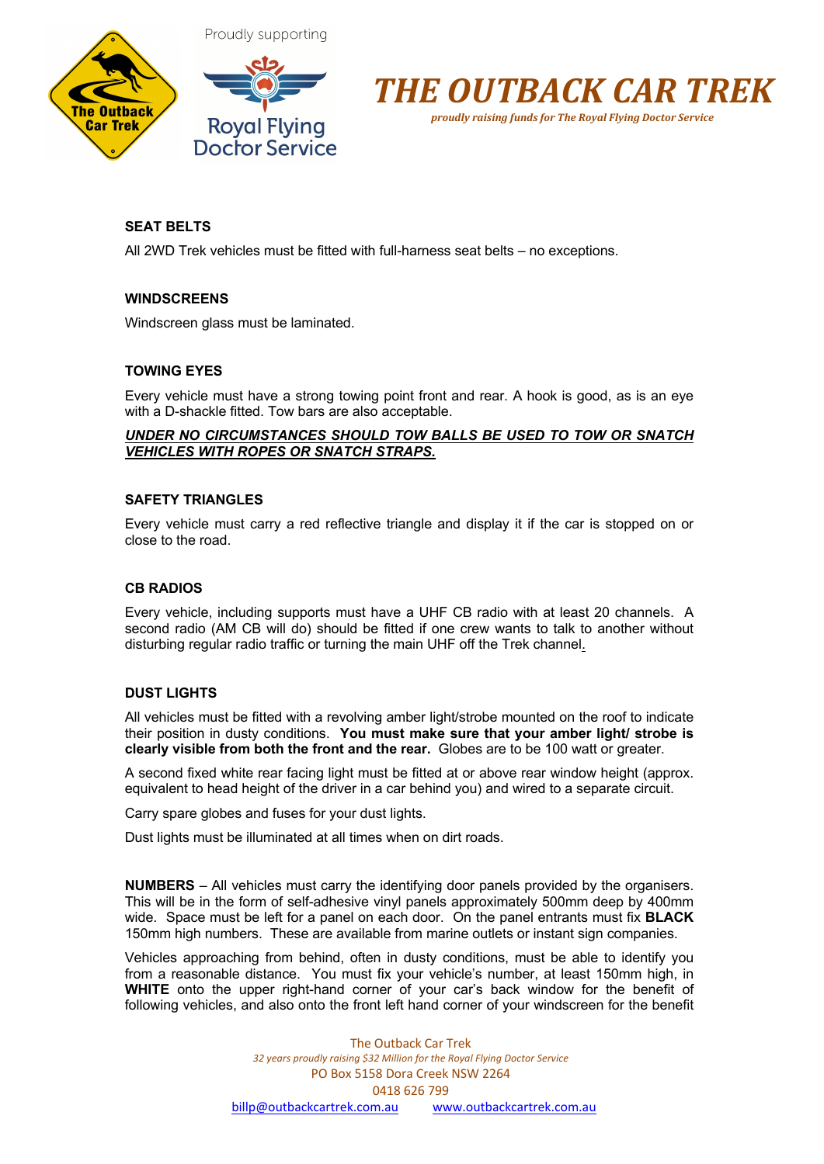



Proudly supporting



*proudly raising funds for The Royal Flying Doctor Service*

# **SEAT BELTS**

All 2WD Trek vehicles must be fitted with full-harness seat belts – no exceptions.

# **WINDSCREENS**

Windscreen glass must be laminated.

# **TOWING EYES**

Every vehicle must have a strong towing point front and rear. A hook is good, as is an eye with a D-shackle fitted. Tow bars are also acceptable.

# *UNDER NO CIRCUMSTANCES SHOULD TOW BALLS BE USED TO TOW OR SNATCH VEHICLES WITH ROPES OR SNATCH STRAPS.*

#### **SAFETY TRIANGLES**

Every vehicle must carry a red reflective triangle and display it if the car is stopped on or close to the road.

#### **CB RADIOS**

Every vehicle, including supports must have a UHF CB radio with at least 20 channels. A second radio (AM CB will do) should be fitted if one crew wants to talk to another without disturbing regular radio traffic or turning the main UHF off the Trek channel.

# **DUST LIGHTS**

All vehicles must be fitted with a revolving amber light/strobe mounted on the roof to indicate their position in dusty conditions. **You must make sure that your amber light/ strobe is clearly visible from both the front and the rear.** Globes are to be 100 watt or greater.

A second fixed white rear facing light must be fitted at or above rear window height (approx. equivalent to head height of the driver in a car behind you) and wired to a separate circuit.

Carry spare globes and fuses for your dust lights.

Dust lights must be illuminated at all times when on dirt roads.

**NUMBERS** – All vehicles must carry the identifying door panels provided by the organisers. This will be in the form of self-adhesive vinyl panels approximately 500mm deep by 400mm wide. Space must be left for a panel on each door. On the panel entrants must fix **BLACK** 150mm high numbers. These are available from marine outlets or instant sign companies.

Vehicles approaching from behind, often in dusty conditions, must be able to identify you from a reasonable distance. You must fix your vehicle's number, at least 150mm high, in **WHITE** onto the upper right-hand corner of your car's back window for the benefit of following vehicles, and also onto the front left hand corner of your windscreen for the benefit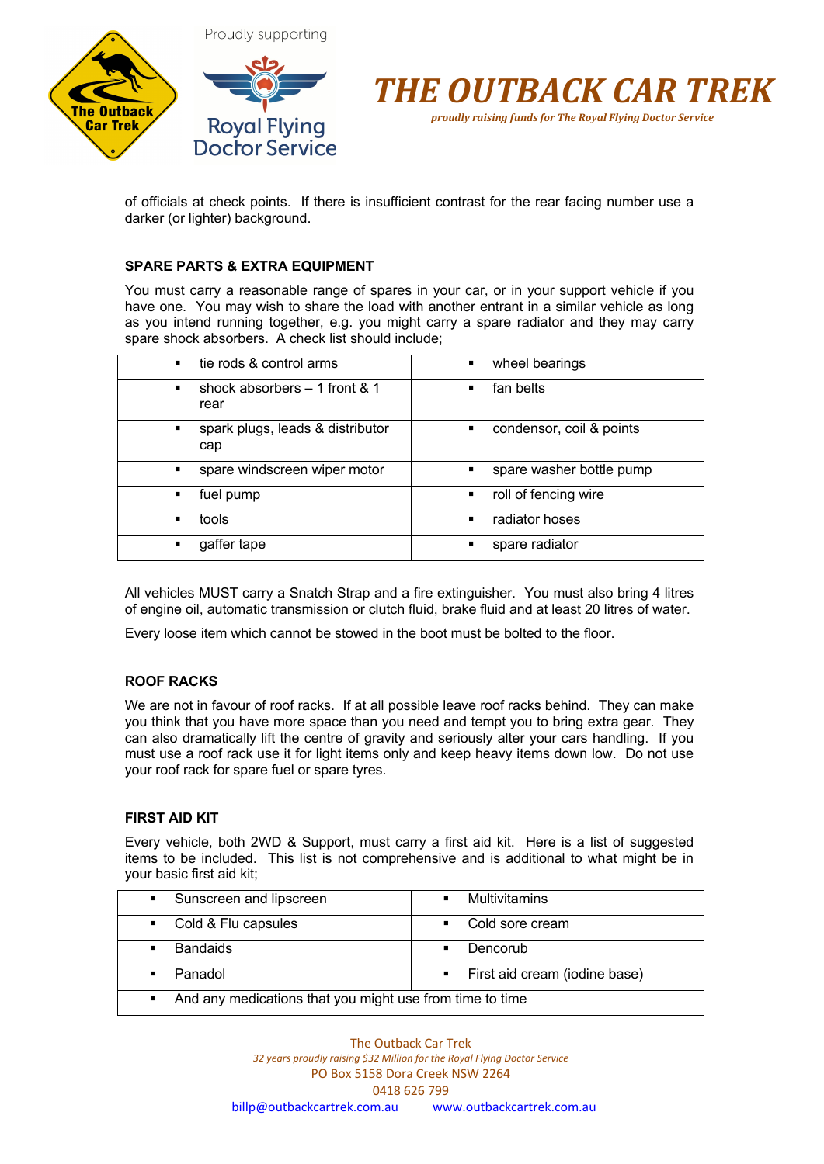



of officials at check points. If there is insufficient contrast for the rear facing number use a darker (or lighter) background.

# **SPARE PARTS & EXTRA EQUIPMENT**

You must carry a reasonable range of spares in your car, or in your support vehicle if you have one. You may wish to share the load with another entrant in a similar vehicle as long as you intend running together, e.g. you might carry a spare radiator and they may carry spare shock absorbers. A check list should include;

| tie rods & control arms                                  | wheel bearings                             |
|----------------------------------------------------------|--------------------------------------------|
| $\blacksquare$                                           | $\blacksquare$                             |
| shock absorbers $-1$ front & 1<br>$\blacksquare$<br>rear | fan belts<br>$\blacksquare$                |
| spark plugs, leads & distributor<br>п<br>cap             | condensor, coil & points<br>$\blacksquare$ |
| spare windscreen wiper motor                             | spare washer bottle pump                   |
| $\blacksquare$                                           | ٠                                          |
| fuel pump                                                | roll of fencing wire                       |
| ٠                                                        | $\blacksquare$                             |
| tools                                                    | radiator hoses                             |
| $\blacksquare$                                           | $\blacksquare$                             |
| gaffer tape                                              | spare radiator                             |
| п                                                        | п                                          |

All vehicles MUST carry a Snatch Strap and a fire extinguisher. You must also bring 4 litres of engine oil, automatic transmission or clutch fluid, brake fluid and at least 20 litres of water.

Every loose item which cannot be stowed in the boot must be bolted to the floor.

# **ROOF RACKS**

We are not in favour of roof racks. If at all possible leave roof racks behind. They can make you think that you have more space than you need and tempt you to bring extra gear. They can also dramatically lift the centre of gravity and seriously alter your cars handling. If you must use a roof rack use it for light items only and keep heavy items down low. Do not use your roof rack for spare fuel or spare tyres.

# **FIRST AID KIT**

Every vehicle, both 2WD & Support, must carry a first aid kit. Here is a list of suggested items to be included. This list is not comprehensive and is additional to what might be in your basic first aid kit;

| • Sunscreen and lipscreen                                                    | Multivitamins<br>$\blacksquare$ |
|------------------------------------------------------------------------------|---------------------------------|
| • Cold & Flu capsules                                                        | • Cold sore cream               |
| <b>Bandaids</b><br>$\blacksquare$                                            | Dencorub                        |
| Panadol<br>$\blacksquare$                                                    | • First aid cream (iodine base) |
| And any medications that you might use from time to time<br>$\blacksquare$ . |                                 |